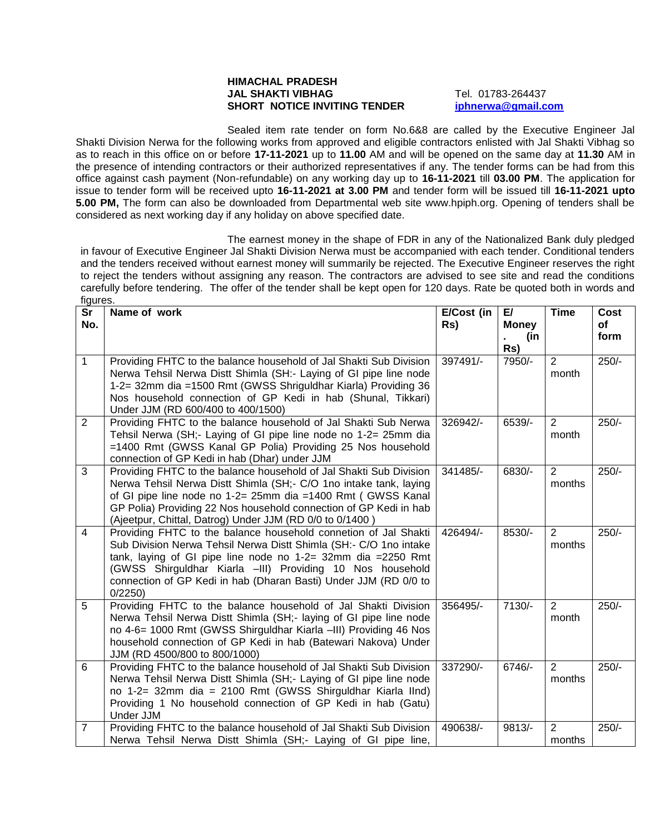## **HIMACHAL PRADESH JAL SHAKTI VIBHAG** Tel. 01783-264437 **SHORT NOTICE INVITING TENDER [iphnerwa@gmail.com](mailto:iphnerwa@gmail.com)**

Sealed item rate tender on form No.6&8 are called by the Executive Engineer Jal Shakti Division Nerwa for the following works from approved and eligible contractors enlisted with Jal Shakti Vibhag so as to reach in this office on or before **17-11-2021** up to **11.00** AM and will be opened on the same day at **11.30** AM in the presence of intending contractors or their authorized representatives if any. The tender forms can be had from this office against cash payment (Non-refundable) on any working day up to **16-11-2021** till **03.00 PM**. The application for issue to tender form will be received upto **16-11-2021 at 3.00 PM** and tender form will be issued till **16-11-2021 upto 5.00 PM,** The form can also be downloaded from Departmental web site www.hpiph.org. Opening of tenders shall be considered as next working day if any holiday on above specified date.

The earnest money in the shape of FDR in any of the Nationalized Bank duly pledged in favour of Executive Engineer Jal Shakti Division Nerwa must be accompanied with each tender. Conditional tenders and the tenders received without earnest money will summarily be rejected. The Executive Engineer reserves the right to reject the tenders without assigning any reason. The contractors are advised to see site and read the conditions carefully before tendering. The offer of the tender shall be kept open for 120 days. Rate be quoted both in words and figures.

| <b>Sr</b><br>No. | Name of work                                                                                                                                                                                                                                                                                                                                    | E/Cost (in<br>Rs) | E/<br><b>Money</b> | <b>Time</b>              | Cost<br>οf |
|------------------|-------------------------------------------------------------------------------------------------------------------------------------------------------------------------------------------------------------------------------------------------------------------------------------------------------------------------------------------------|-------------------|--------------------|--------------------------|------------|
|                  |                                                                                                                                                                                                                                                                                                                                                 |                   | (in<br>Rs)         |                          | form       |
| $\mathbf{1}$     | Providing FHTC to the balance household of Jal Shakti Sub Division<br>Nerwa Tehsil Nerwa Distt Shimla (SH:- Laying of GI pipe line node<br>1-2= 32mm dia =1500 Rmt (GWSS Shriguldhar Kiarla) Providing 36<br>Nos household connection of GP Kedi in hab (Shunal, Tikkari)<br>Under JJM (RD 600/400 to 400/1500)                                 | 397491/-          | 7950/-             | 2<br>month               | $250/-$    |
| $\overline{2}$   | Providing FHTC to the balance household of Jal Shakti Sub Nerwa<br>Tehsil Nerwa (SH; Laying of GI pipe line node no 1-2= 25mm dia<br>=1400 Rmt (GWSS Kanal GP Polia) Providing 25 Nos household<br>connection of GP Kedi in hab (Dhar) under JJM                                                                                                | 326942/-          | 6539/-             | $\overline{2}$<br>month  | $250/-$    |
| 3                | Providing FHTC to the balance household of Jal Shakti Sub Division<br>Nerwa Tehsil Nerwa Distt Shimla (SH;- C/O 1no intake tank, laying<br>of GI pipe line node no 1-2= 25mm dia =1400 Rmt ( GWSS Kanal<br>GP Polia) Providing 22 Nos household connection of GP Kedi in hab<br>(Ajeetpur, Chittal, Datrog) Under JJM (RD 0/0 to 0/1400)        | 341485/-          | 6830/-             | $\overline{2}$<br>months | $250/-$    |
| 4                | Providing FHTC to the balance household connetion of Jal Shakti<br>Sub Division Nerwa Tehsil Nerwa Distt Shimla (SH:- C/O 1no intake<br>tank, laying of GI pipe line node no 1-2= 32mm dia =2250 Rmt<br>(GWSS Shirguldhar Kiarla -III) Providing 10 Nos household<br>connection of GP Kedi in hab (Dharan Basti) Under JJM (RD 0/0 to<br>0/2250 | 426494/-          | 8530/-             | $\overline{2}$<br>months | $250/-$    |
| 5                | Providing FHTC to the balance household of Jal Shakti Division<br>Nerwa Tehsil Nerwa Distt Shimla (SH;- laying of GI pipe line node<br>no 4-6= 1000 Rmt (GWSS Shirguldhar Kiarla -III) Providing 46 Nos<br>household connection of GP Kedi in hab (Batewari Nakova) Under<br>JJM (RD 4500/800 to 800/1000)                                      | 356495/-          | $7130/-$           | $\overline{2}$<br>month  | $250/-$    |
| 6                | Providing FHTC to the balance household of Jal Shakti Sub Division<br>Nerwa Tehsil Nerwa Distt Shimla (SH; - Laying of GI pipe line node<br>no 1-2= 32mm dia = 2100 Rmt (GWSS Shirguldhar Kiarla IInd)<br>Providing 1 No household connection of GP Kedi in hab (Gatu)<br>Under JJM                                                             | 337290/-          | 6746/-             | $\overline{2}$<br>months | $250/-$    |
| $\overline{7}$   | Providing FHTC to the balance household of Jal Shakti Sub Division<br>Nerwa Tehsil Nerwa Distt Shimla (SH;- Laying of GI pipe line,                                                                                                                                                                                                             | 490638/-          | $9813/-$           | $\overline{2}$<br>months | $250/-$    |